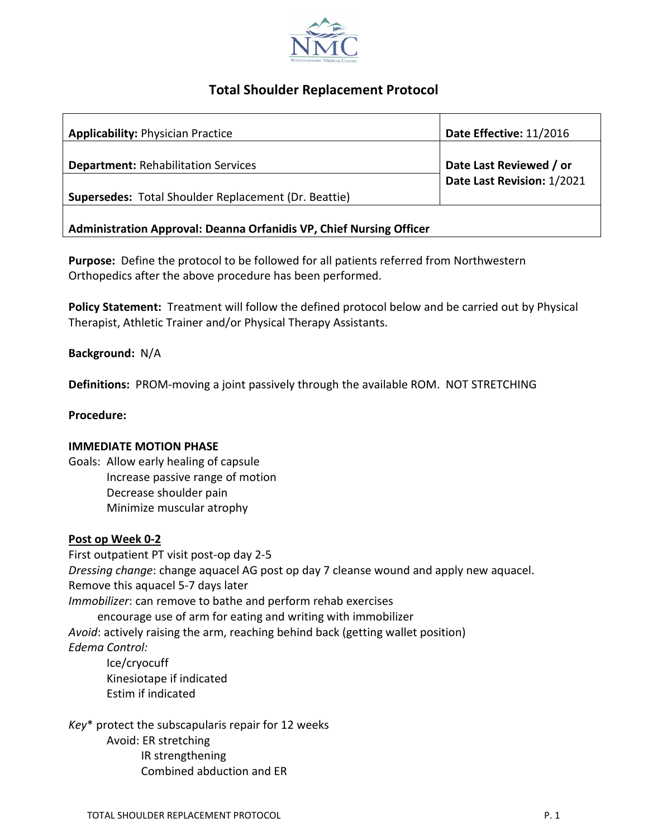

# **Total Shoulder Replacement Protocol**

| <b>Applicability: Physician Practice</b>                            | Date Effective: 11/2016                               |
|---------------------------------------------------------------------|-------------------------------------------------------|
| <b>Department: Rehabilitation Services</b>                          | Date Last Reviewed / or<br>Date Last Revision: 1/2021 |
| Supersedes: Total Shoulder Replacement (Dr. Beattie)                |                                                       |
| Administration Approval: Deanna Orfanidis VP, Chief Nursing Officer |                                                       |

**Purpose:** Define the protocol to be followed for all patients referred from Northwestern Orthopedics after the above procedure has been performed.

**Policy Statement:** Treatment will follow the defined protocol below and be carried out by Physical Therapist, Athletic Trainer and/or Physical Therapy Assistants.

**Background:** N/A

**Definitions:** PROM-moving a joint passively through the available ROM. NOT STRETCHING

**Procedure:**

### **IMMEDIATE MOTION PHASE**

Goals: Allow early healing of capsule Increase passive range of motion Decrease shoulder pain Minimize muscular atrophy

### **Post op Week 0-2**

First outpatient PT visit post-op day 2-5 *Dressing change*: change aquacel AG post op day 7 cleanse wound and apply new aquacel. Remove this aquacel 5-7 days later *Immobilizer*: can remove to bathe and perform rehab exercises encourage use of arm for eating and writing with immobilizer *Avoid*: actively raising the arm, reaching behind back (getting wallet position) *Edema Control:* Ice/cryocuff

Kinesiotape if indicated Estim if indicated

*Key*\* protect the subscapularis repair for 12 weeks Avoid: ER stretching IR strengthening Combined abduction and ER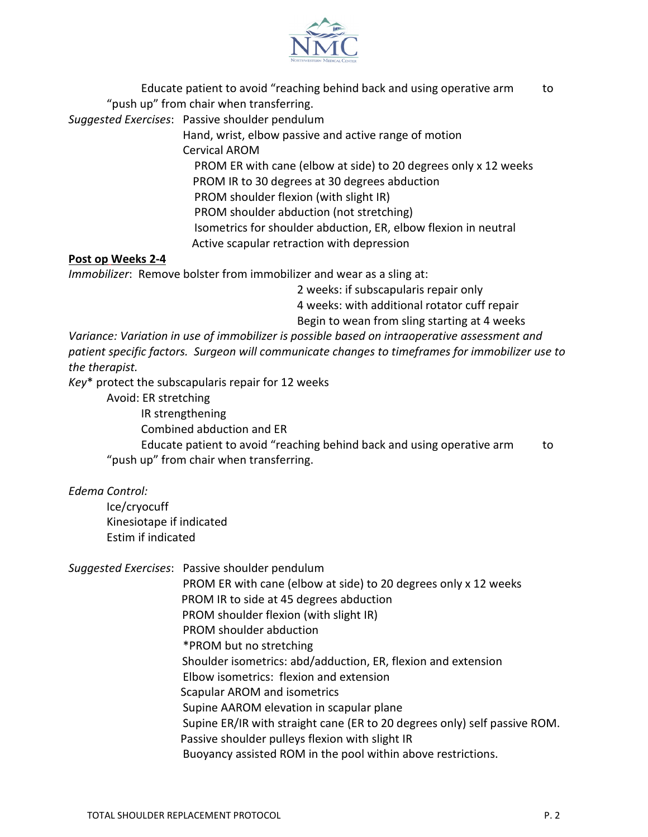

 Educate patient to avoid "reaching behind back and using operative arm to "push up" from chair when transferring.

*Suggested Exercises*: Passive shoulder pendulum

Hand, wrist, elbow passive and active range of motion Cervical AROM PROM ER with cane (elbow at side) to 20 degrees only x 12 weeks PROM IR to 30 degrees at 30 degrees abduction PROM shoulder flexion (with slight IR) PROM shoulder abduction (not stretching) Isometrics for shoulder abduction, ER, elbow flexion in neutral Active scapular retraction with depression

### **Post op Weeks 2-4**

*Immobilizer*: Remove bolster from immobilizer and wear as a sling at:

2 weeks: if subscapularis repair only 4 weeks: with additional rotator cuff repair Begin to wean from sling starting at 4 weeks

*Variance: Variation in use of immobilizer is possible based on intraoperative assessment and patient specific factors. Surgeon will communicate changes to timeframes for immobilizer use to the therapist.*

*Key*\* protect the subscapularis repair for 12 weeks

Avoid: ER stretching

IR strengthening

Combined abduction and ER

Educate patient to avoid "reaching behind back and using operative arm to "push up" from chair when transferring.

### *Edema Control:*

Ice/cryocuff Kinesiotape if indicated Estim if indicated

*Suggested Exercises*: Passive shoulder pendulum

PROM ER with cane (elbow at side) to 20 degrees only x 12 weeks PROM IR to side at 45 degrees abduction PROM shoulder flexion (with slight IR) PROM shoulder abduction \*PROM but no stretching Shoulder isometrics: abd/adduction, ER, flexion and extension Elbow isometrics: flexion and extension Scapular AROM and isometrics Supine AAROM elevation in scapular plane Supine ER/IR with straight cane (ER to 20 degrees only) self passive ROM. Passive shoulder pulleys flexion with slight IR Buoyancy assisted ROM in the pool within above restrictions.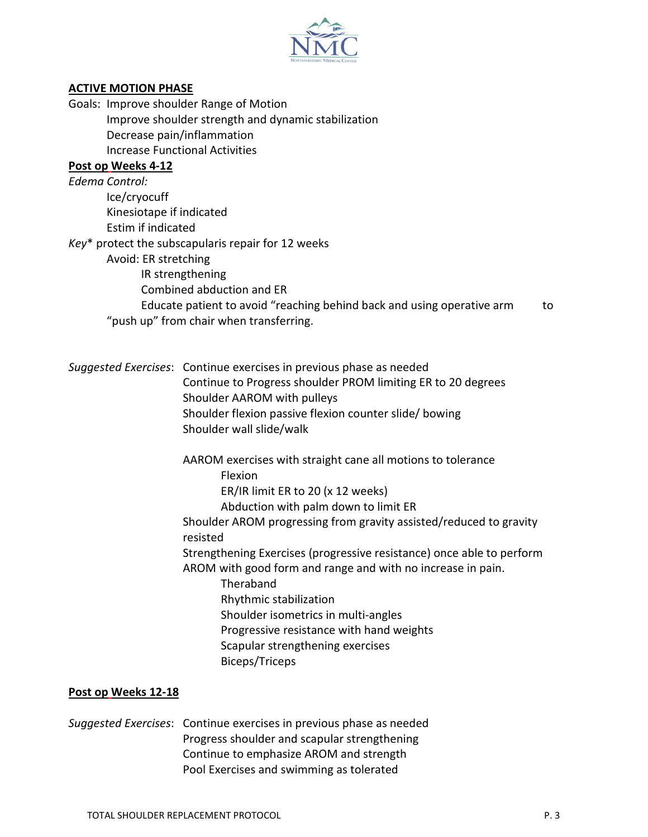

### **ACTIVE MOTION PHASE**

Goals: Improve shoulder Range of Motion Improve shoulder strength and dynamic stabilization Decrease pain/inflammation Increase Functional Activities

#### **Post op Weeks 4-12**

*Edema Control:* Ice/cryocuff Kinesiotape if indicated Estim if indicated *Key*\* protect the subscapularis repair for 12 weeks Avoid: ER stretching IR strengthening Combined abduction and ER Educate patient to avoid "reaching behind back and using operative arm to "push up" from chair when transferring.

*Suggested Exercises*: Continue exercises in previous phase as needed Continue to Progress shoulder PROM limiting ER to 20 degrees Shoulder AAROM with pulleys Shoulder flexion passive flexion counter slide/ bowing Shoulder wall slide/walk

> AAROM exercises with straight cane all motions to tolerance Flexion ER/IR limit ER to 20 (x 12 weeks) Abduction with palm down to limit ER

Shoulder AROM progressing from gravity assisted/reduced to gravity resisted

Strengthening Exercises (progressive resistance) once able to perform AROM with good form and range and with no increase in pain.

> Theraband Rhythmic stabilization Shoulder isometrics in multi-angles Progressive resistance with hand weights Scapular strengthening exercises Biceps/Triceps

#### **Post op Weeks 12-18**

*Suggested Exercises*: Continue exercises in previous phase as needed Progress shoulder and scapular strengthening Continue to emphasize AROM and strength Pool Exercises and swimming as tolerated